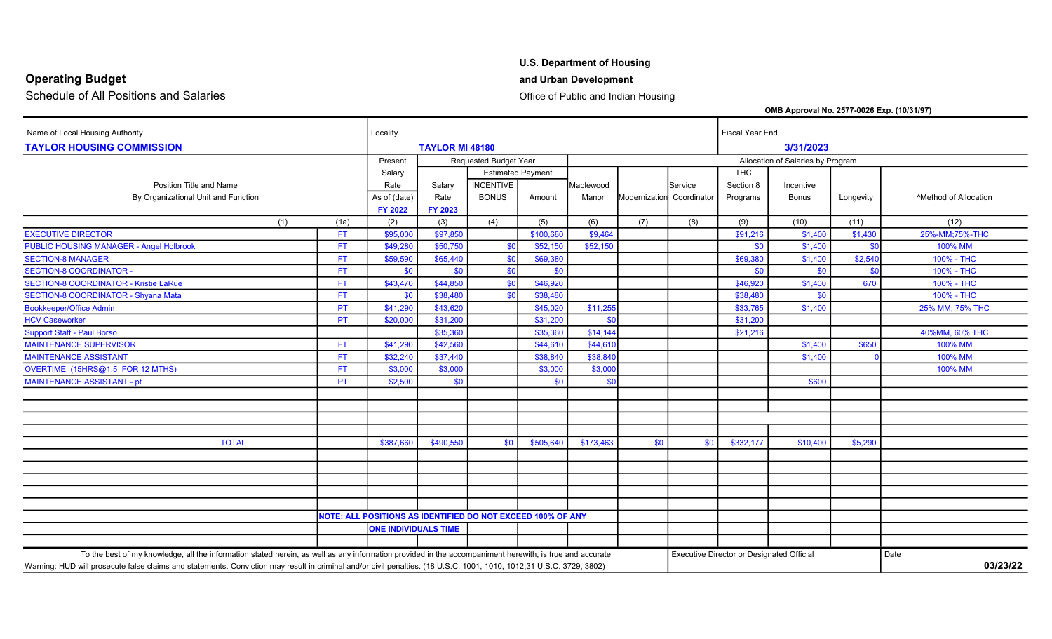## Operating Budget and Urban Development

Schedule of All Positions and Salaries **Contained a Contained Access 20** Office of Public and Indian Housing

### U.S. Department of Housing

OMB Approval No. 2577-0026 Exp. (10/31/97)

Name of Local Housing Authority **Local Local Housing Authority** Local in the Locality **Locality Locality Locality Locality Locality Locality Locality Local End** TAYLOR HOUSING COMMISSION TAYLOR MI 48180 3/31/2023 Present Requested Budget Year Allocation of Salaries by Program Allocation of Salaries by Program Salary **Estimated Payment Community THC** THC Position Title and Name **Rate State State State Section Service** Section 8 Incentive Section 8 Incentive By Organizational Unit and Function **Burgon Contains Active As of (date)** Rate BONUS Amount Manor Modernization Coordinator Programs Bonus Longevity Method of Allocation FY 2022 FY 2023 (1) (1a) (2) (3) (4) (5) (6) (7) (8) (9) (10) (11) (12) EXECUTIVE DIRECTOR \$97,850 | \$100,680 | \$9,464 | \$91,216 | \$1,400 | \$1,430 | 25%-MM;75%-THC PUBLIC HOUSING MANAGER - Angel Holbrook **FT | \$49,280 \$50,750** \$0 \$52,150 \$0,750 \$0,852,150 \$0 \$0,000 \$0 \$0 \$0 100% MM SECTION-8 MANAGER \$69,590 | \$69,380 | \$69,380 | \$1,400 | \$2,540 | 100% - THC SECTION-8 COORDINATOR - Same section of the section of the south of the south of the south of the south of the south of the south of the south of the south of the south of the south of the south of the south of the south o SECTION-8 COORDINATOR - Kristie LaRue \$43,470 | \$44,850 | \$0 | \$46,920 | 100% - THC SECTION-8 COORDINATOR - Shyana Mata **FT** \$0 \$38,480 \$0 \$38,480 \$0 \$38,480 \$0 \$38,480 \$38,480 \$0 \$0 \$38,480 \$0 \$0 100% - THC Bookkeeper/Office Admin \$43,620 \$1,255 \$33,765 \$1,400 25% MM; 75% THC HCV Caseworker \$20,000 \$31,200 \$31,200 \$0 \$31,200 Support Staff - Paul Borso \$35,360 \$35,360 \$14,144 \$21,216 40%MM, 60% THC MAINTENANCE SUPERVISOR \$41,290 | \$42,560 | \$44,610 | \$44,610 | 100% MM MAINTENANCE ASSISTANT \$32,240 | \$38,840 | \$38,840 | 100% MM OVERTIME (15HRS@1.5 FOR 12 MTHS) \$3,000 | \$3,000 | 100% MM MAINTENANCE ASSISTANT - pt PT \$2,500 \$0 \$0 \$0 \$600 TOTAL \$387,660 | \$490,550 \$0 \$505,640 | \$173,463 \$0 \$032,177 | \$10,400 | \$5,290 NOTE: ALL POSITIONS AS IDENTIFIED DO NOT EXCEED 100% OF ANY ONE INDIVIDUALS TIME To the best of my knowledge, all the information stated herein, as well as any information provided in the accompaniment herewith, is true and accurate Executive Director or Designated Official Date Warning: HUD will prosecute false claims and statements. Conviction may result in criminal and/or civil penalties. (18 U.S.C. 1001, 1010, 1012;31 U.S.C. 3729, 3802) 03/23/22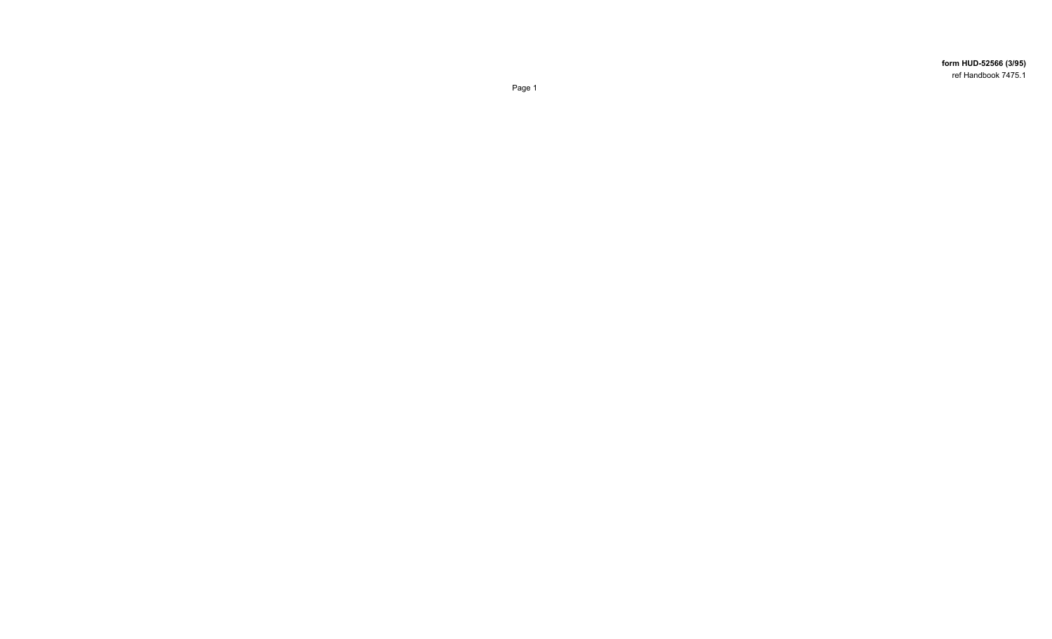form HUD-52566 (3/95) ref Handbook 7475.1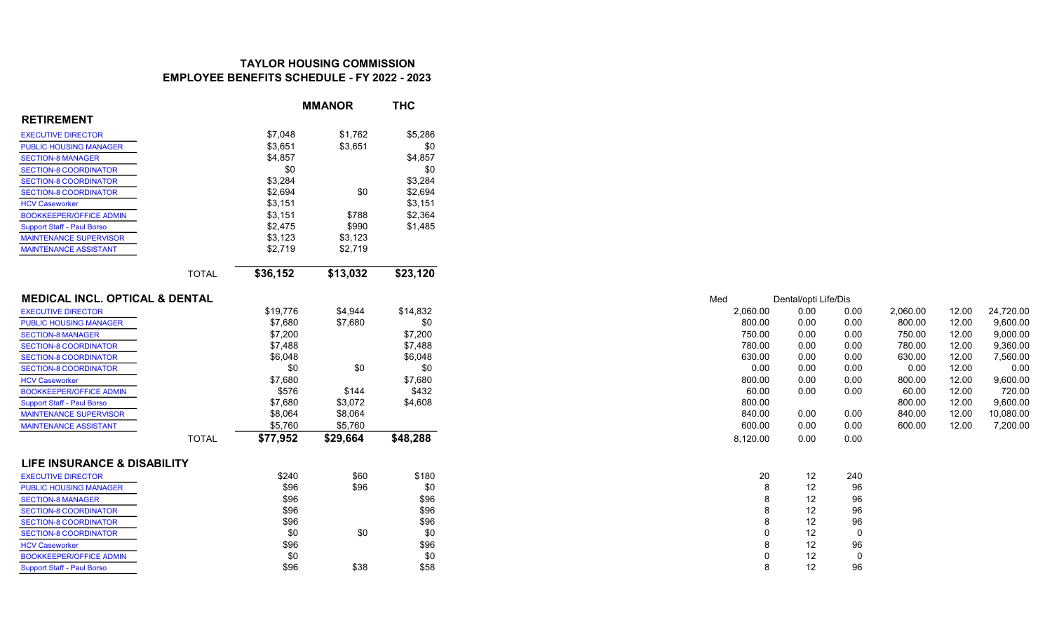# TAYLOR HOUSING COMMISSION EMPLOYEE BENEFITS SCHEDULE - FY 2022 - 2023

|                                           |              |          | <b>MMANOR</b> | <b>THC</b> |
|-------------------------------------------|--------------|----------|---------------|------------|
| <b>RETIREMENT</b>                         |              |          |               |            |
| <b>EXECUTIVE DIRECTOR</b>                 |              | \$7,048  | \$1,762       | \$5,286    |
| <b>PUBLIC HOUSING MANAGER</b>             |              | \$3,651  | \$3,651       | \$0        |
| <b>SECTION-8 MANAGER</b>                  |              | \$4,857  |               | \$4,857    |
| <b>SECTION-8 COORDINATOR</b>              |              | \$0      |               | \$0        |
| <b>SECTION-8 COORDINATOR</b>              |              | \$3,284  |               | \$3,284    |
| <b>SECTION-8 COORDINATOR</b>              |              | \$2,694  | \$0           | \$2,694    |
| <b>HCV Caseworker</b>                     |              | \$3,151  |               | \$3,151    |
| <b>BOOKKEEPER/OFFICE ADMIN</b>            |              | \$3,151  | \$788         | \$2,364    |
| <b>Support Staff - Paul Borso</b>         |              | \$2,475  | \$990         | \$1,485    |
| <b>MAINTENANCE SUPERVISOR</b>             |              | \$3,123  | \$3,123       |            |
| <b>MAINTENANCE ASSISTANT</b>              |              | \$2,719  | \$2,719       |            |
|                                           |              |          |               |            |
|                                           | <b>TOTAL</b> | \$36,152 | \$13,032      | \$23,120   |
| <b>MEDICAL INCL. OPTICAL &amp; DENTAL</b> |              |          |               |            |
| <b>EXECUTIVE DIRECTOR</b>                 |              | \$19,776 | \$4,944       | \$14,832   |
| <b>PUBLIC HOUSING MANAGER</b>             |              | \$7,680  | \$7,680       | \$0        |
| <b>SECTION-8 MANAGER</b>                  |              | \$7,200  |               | \$7,200    |
| <b>SECTION-8 COORDINATOR</b>              |              | \$7,488  |               | \$7,488    |
| <b>SECTION-8 COORDINATOR</b>              |              | \$6,048  |               | \$6,048    |
| <b>SECTION-8 COORDINATOR</b>              |              | \$0      | \$0           | \$0        |
| <b>HCV Caseworker</b>                     |              | \$7,680  |               | \$7,680    |
| <b>BOOKKEEPER/OFFICE ADMIN</b>            |              | \$576    | \$144         | \$432      |
| <b>Support Staff - Paul Borso</b>         |              | \$7,680  | \$3,072       | \$4,608    |
| <b>MAINTENANCE SUPERVISOR</b>             |              | \$8,064  | \$8,064       |            |
| <b>MAINTENANCE ASSISTANT</b>              |              | \$5,760  | \$5,760       |            |
|                                           | <b>TOTAL</b> | \$77,952 | \$29,664      | \$48,288   |
| <b>LIFE INSURANCE &amp; DISABILITY</b>    |              |          |               |            |
| <b>EXECUTIVE DIRECTOR</b>                 |              | \$240    | \$60          | \$180      |
| <b>PUBLIC HOUSING MANAGER</b>             |              | \$96     | \$96          | \$0        |
| <b>SECTION-8 MANAGER</b>                  |              | \$96     |               | \$96       |
| <b>SECTION-8 COORDINATOR</b>              |              | \$96     |               | \$96       |
| <b>SECTION-8 COORDINATOR</b>              |              | \$96     |               | \$96       |
| <b>SECTION-8 COORDINATOR</b>              |              | \$0      | \$0           | \$0        |
| <b>HCV Caseworker</b>                     |              | \$96     |               | \$96       |
| <b>BOOKKEEPER/OFFICE ADMIN</b>            |              | \$0      |               | \$0        |
| <b>Support Staff - Paul Borso</b>         |              | \$96     | \$38          | \$58       |

| Med |          | Dental/opti Life/Dis |      |          |       |           |
|-----|----------|----------------------|------|----------|-------|-----------|
|     | 2,060.00 | 0.00                 | 0.00 | 2,060.00 | 12.00 | 24,720.00 |
|     | 800.00   | 0.00                 | 0.00 | 800.00   | 12.00 | 9.600.00  |
|     | 750.00   | 0.00                 | 0.00 | 750.00   | 12.00 | 9,000.00  |
|     | 780.00   | 0.00                 | 0.00 | 780.00   | 12.00 | 9.360.00  |
|     | 630.00   | 0.00                 | 0.00 | 630.00   | 12.00 | 7.560.00  |
|     | 0.00     | 0.00                 | 0.00 | 0.00     | 12.00 | 0.00      |
|     | 800.00   | 0.00                 | 0.00 | 800.00   | 12.00 | 9.600.00  |
|     | 60.00    | 0.00                 | 0.00 | 60.00    | 12.00 | 720.00    |
|     | 800.00   |                      |      | 800.00   | 12.00 | 9.600.00  |
|     | 840.00   | 0.00                 | 0.00 | 840.00   | 12.00 | 10.080.00 |
|     | 600.00   | 0.00                 | 0.00 | 600.00   | 12.00 | 7.200.00  |
|     | 8,120.00 | 0.00                 | 0.00 |          |       |           |
|     |          |                      |      |          |       |           |
|     | 20       | 12                   | 240  |          |       |           |
|     | 8        | 12                   | 96   |          |       |           |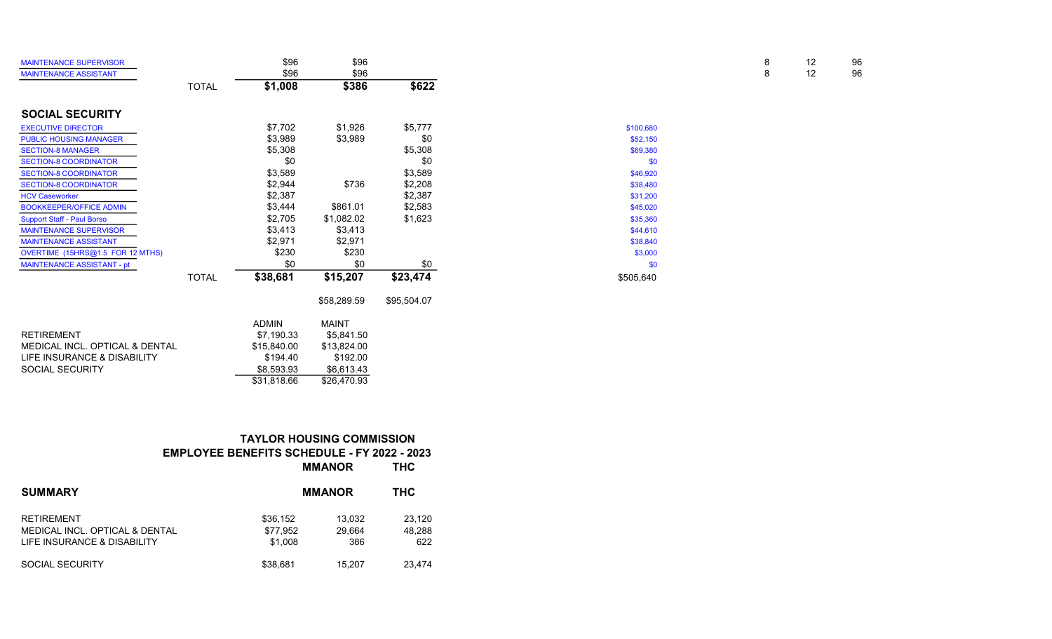| <b>MAINTENANCE SUPERVISOR</b>     |              | \$96         | \$96         |             |           | 8 | 12 | 96 |
|-----------------------------------|--------------|--------------|--------------|-------------|-----------|---|----|----|
| <b>MAINTENANCE ASSISTANT</b>      |              | \$96         | \$96         |             |           | 8 | 12 | 96 |
|                                   | <b>TOTAL</b> | \$1,008      | \$386        | \$622       |           |   |    |    |
| <b>SOCIAL SECURITY</b>            |              |              |              |             |           |   |    |    |
| <b>EXECUTIVE DIRECTOR</b>         |              | \$7,702      | \$1,926      | \$5,777     | \$100,680 |   |    |    |
| <b>PUBLIC HOUSING MANAGER</b>     |              | \$3,989      | \$3,989      | \$0         | \$52,150  |   |    |    |
| <b>SECTION-8 MANAGER</b>          |              | \$5,308      |              | \$5,308     | \$69,380  |   |    |    |
| <b>SECTION-8 COORDINATOR</b>      |              | \$0          |              | \$0         | \$0       |   |    |    |
| <b>SECTION-8 COORDINATOR</b>      |              | \$3,589      |              | \$3,589     | \$46,920  |   |    |    |
| <b>SECTION-8 COORDINATOR</b>      |              | \$2,944      | \$736        | \$2,208     | \$38,480  |   |    |    |
| <b>HCV Caseworker</b>             |              | \$2,387      |              | \$2,387     | \$31,200  |   |    |    |
| <b>BOOKKEEPER/OFFICE ADMIN</b>    |              | \$3,444      | \$861.01     | \$2,583     | \$45,020  |   |    |    |
| <b>Support Staff - Paul Borso</b> |              | \$2,705      | \$1,082.02   | \$1,623     | \$35,360  |   |    |    |
| <b>MAINTENANCE SUPERVISOR</b>     |              | \$3,413      | \$3,413      |             | \$44,610  |   |    |    |
| <b>MAINTENANCE ASSISTANT</b>      |              | \$2,971      | \$2,971      |             | \$38,840  |   |    |    |
| OVERTIME (15HRS@1.5 FOR 12 MTHS)  |              | \$230        | \$230        |             | \$3,000   |   |    |    |
| MAINTENANCE ASSISTANT - pt        |              | \$0          | \$0          | \$0         | \$0       |   |    |    |
|                                   | <b>TOTAL</b> | \$38,681     | \$15,207     | \$23,474    | \$505,640 |   |    |    |
|                                   |              |              | \$58,289.59  | \$95,504.07 |           |   |    |    |
|                                   |              | <b>ADMIN</b> | <b>MAINT</b> |             |           |   |    |    |
| <b>RETIREMENT</b>                 |              | \$7,190.33   | \$5,841.50   |             |           |   |    |    |
| MEDICAL INCL. OPTICAL & DENTAL    |              | \$15,840.00  | \$13,824.00  |             |           |   |    |    |
| LIFE INSURANCE & DISABILITY       |              | \$194.40     | \$192.00     |             |           |   |    |    |

| NETINEMENT                     | <b>JI.190.00</b> | <b>JU.UH I.UU</b> |
|--------------------------------|------------------|-------------------|
| MEDICAL INCL. OPTICAL & DENTAL | \$15.840.00      | \$13.824.00       |
| LIFE INSURANCE & DISABILITY    | \$194.40         | \$192.00          |
| SOCIAL SECURITY                | \$8.593.93       | \$6.613.43        |
|                                | \$31.818.66      | \$26.470.93       |

## TAYLOR HOUSING COMMISSION EMPLOYEE BENEFITS SCHEDULE - FY 2022 - 2023 MMANOR THC

| <b>SUMMARY</b>                 | <b>MMANOR</b> | тнс    |        |
|--------------------------------|---------------|--------|--------|
| <b>RETIREMENT</b>              | \$36.152      | 13.032 | 23.120 |
| MEDICAL INCL. OPTICAL & DENTAL | \$77.952      | 29.664 | 48.288 |
| LIFE INSURANCE & DISABILITY    | \$1.008       | 386    | 622    |
| SOCIAL SECURITY                | \$38.681      | 15.207 | 23.474 |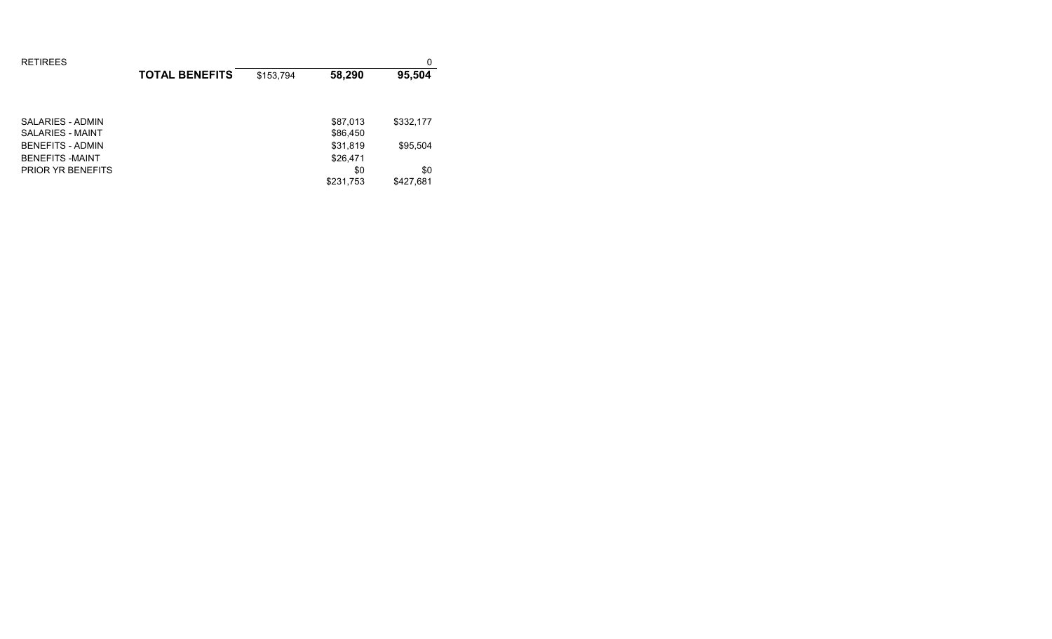| <b>RETIREES</b>          |                       |           |           | 0         |
|--------------------------|-----------------------|-----------|-----------|-----------|
|                          | <b>TOTAL BENEFITS</b> | \$153,794 | 58,290    | 95,504    |
|                          |                       |           |           |           |
|                          |                       |           |           |           |
| SALARIES - ADMIN         |                       |           | \$87,013  | \$332,177 |
| SALARIES - MAINT         |                       |           | \$86,450  |           |
| <b>BENEFITS - ADMIN</b>  |                       |           | \$31,819  | \$95,504  |
| <b>BENEFITS-MAINT</b>    |                       |           | \$26,471  |           |
| <b>PRIOR YR BENEFITS</b> |                       |           | \$0       | \$0       |
|                          |                       |           | \$231,753 | \$427,681 |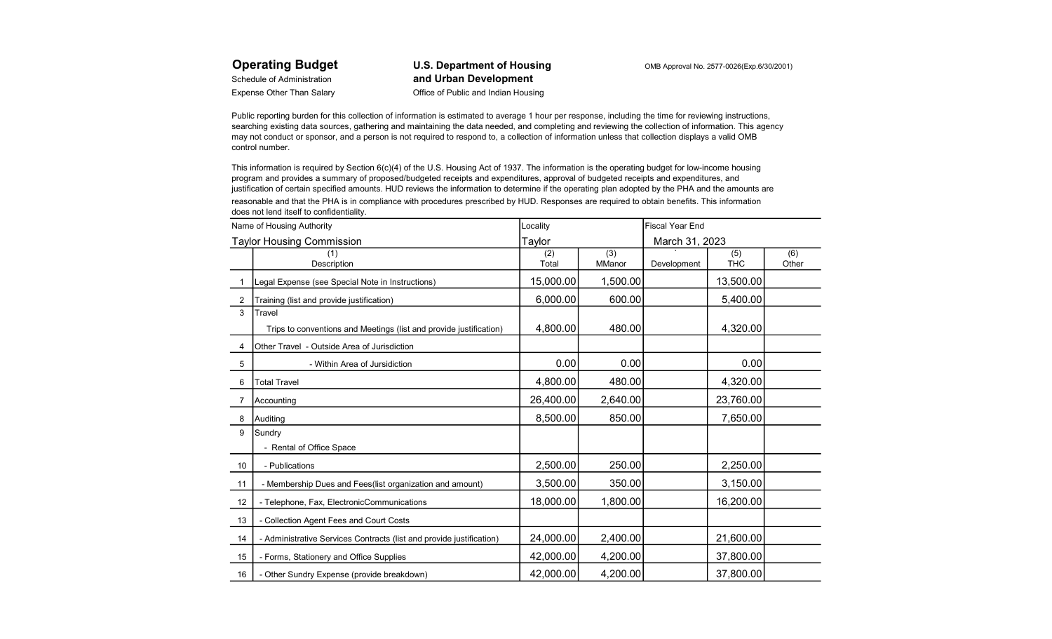Operating Budget U.S. Department of Housing COMB Approval No. 2577-0026(Exp.6/30/2001) Schedule of Administration **and Urban Development** Expense Other Than Salary **Channel School School Contract Channel Contract Channel Channel Channel Channel Channel Channel Channel Channel Channel Channel Channel Channel Channel Channel Channel Channel Channel Channel Cha** 

Public reporting burden for this collection of information is estimated to average 1 hour per response, including the time for reviewing instructions, searching existing data sources, gathering and maintaining the data needed, and completing and reviewing the collection of information. This agency may not conduct or sponsor, and a person is not required to respond to, a collection of information unless that collection displays a valid OMB control number.

This information is required by Section 6(c)(4) of the U.S. Housing Act of 1937. The information is the operating budget for low-income housing program and provides a summary of proposed/budgeted receipts and expenditures, approval of budgeted receipts and expenditures, and justification of certain specified amounts. HUD reviews the information to determine if the operating plan adopted by the PHA and the amounts are

reasonable and that the PHA is in compliance with procedures prescribed by HUD. Responses are required to obtain benefits. This information does not lend itself to confidentiality.

|                   | Name of Housing Authority                                            | Locality     |               | <b>Fiscal Year End</b> |                   |              |  |
|-------------------|----------------------------------------------------------------------|--------------|---------------|------------------------|-------------------|--------------|--|
|                   | <b>Taylor Housing Commission</b>                                     | Taylor       |               | March 31, 2023         |                   |              |  |
|                   | Description                                                          | (2)<br>Total | (3)<br>MManor | Development            | (5)<br><b>THC</b> | (6)<br>Other |  |
|                   | Legal Expense (see Special Note in Instructions)                     | 15,000.00    | 1,500.00      |                        | 13,500.00         |              |  |
| 2                 | Training (list and provide justification)                            | 6,000.00     | 600.00        |                        | 5,400.00          |              |  |
| 3                 | Travel                                                               |              |               |                        |                   |              |  |
|                   | Trips to conventions and Meetings (list and provide justification)   | 4,800.00     | 480.00        |                        | 4,320.00          |              |  |
| 4                 | Other Travel - Outside Area of Jurisdiction                          |              |               |                        |                   |              |  |
| 5                 | - Within Area of Jursidiction                                        | 0.00         | 0.00          |                        | 0.00              |              |  |
| 6                 | <b>Total Travel</b>                                                  | 4,800.00     | 480.00        |                        | 4,320.00          |              |  |
| 7                 | Accounting                                                           | 26,400.00    | 2,640.00      |                        | 23,760.00         |              |  |
| 8                 | Auditing                                                             | 8,500.00     | 850.00        |                        | 7,650.00          |              |  |
| 9                 | Sundry                                                               |              |               |                        |                   |              |  |
|                   | - Rental of Office Space                                             |              |               |                        |                   |              |  |
| 10                | - Publications                                                       | 2,500.00     | 250.00        |                        | 2,250.00          |              |  |
| 11                | - Membership Dues and Fees(list organization and amount)             | 3,500.00     | 350.00        |                        | 3,150.00          |              |  |
| $12 \overline{ }$ | - Telephone, Fax, ElectronicCommunications                           | 18,000.00    | 1,800.00      |                        | 16,200.00         |              |  |
| 13                | - Collection Agent Fees and Court Costs                              |              |               |                        |                   |              |  |
| 14                | - Administrative Services Contracts (list and provide justification) | 24,000.00    | 2,400.00      |                        | 21,600.00         |              |  |
| 15                | - Forms, Stationery and Office Supplies                              | 42,000.00    | 4,200.00      |                        | 37,800.00         |              |  |
| 16                | - Other Sundry Expense (provide breakdown)                           | 42,000.00    | 4,200.00      |                        | 37,800.00         |              |  |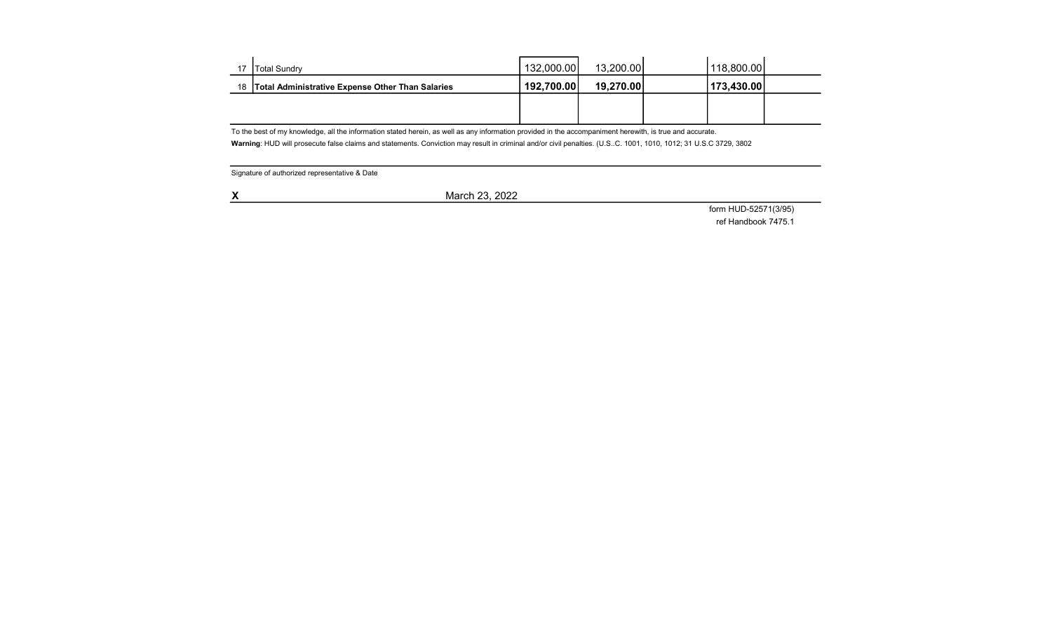| 17 | <b>ITotal Sundry</b>                                | 132,000.00 | 13.200.001 | 118,800.00 |  |
|----|-----------------------------------------------------|------------|------------|------------|--|
|    | 18 Total Administrative Expense Other Than Salaries | 192,700.00 | 19,270.00  | 173,430.00 |  |
|    |                                                     |            |            |            |  |
|    |                                                     |            |            |            |  |

To the best of my knowledge, all the information stated herein, as well as any information provided in the accompaniment herewith, is true and accurate.

Warning: HUD will prosecute false claims and statements. Conviction may result in criminal and/or civil penalties. (U.S..C. 1001, 1010, 1012; 31 U.S.C 3729, 3802

Signature of authorized representative & Date

**X** March 23, 2022

form HUD-52571(3/95)

ref Handbook 7475.1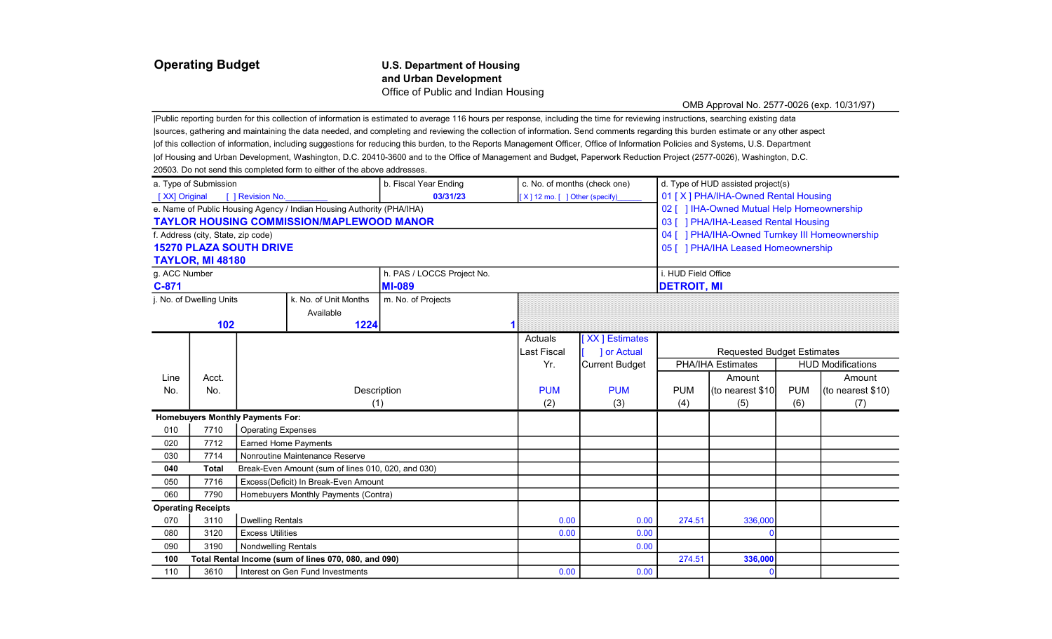### Operating Budget U.S. Department of Housing and Urban Development Office of Public and Indian Housing

### OMB Approval No. 2577-0026 (exp. 10/31/97)

|Public reporting burden for this collection of information is estimated to average 116 hours per response, including the time for reviewing instructions, searching existing data |sources, gathering and maintaining the data needed, and completing and reviewing the collection of information. Send comments regarding this burden estimate or any other aspect |of this collection of information, including suggestions for reducing this burden, to the Reports Management Officer, Office of Information Policies and Systems, U.S. Department |of Housing and Urban Development, Washington, D.C. 20410-3600 and to the Office of Management and Budget, Paperwork Reduction Project (2577-0026), Washington, D.C. 20503. Do not send this completed form to either of the above addresses.

|                                    | a. Type of Submission     |                                         |                                                                       | b. Fiscal Year Ending      | c. No. of months (check one)       |                       | d. Type of HUD assisted project(s)  |                                                |            |                          |
|------------------------------------|---------------------------|-----------------------------------------|-----------------------------------------------------------------------|----------------------------|------------------------------------|-----------------------|-------------------------------------|------------------------------------------------|------------|--------------------------|
| [XX] Original                      |                           | [ ] Revision No.                        |                                                                       | 03/31/23                   | $[X]$ 12 mo. $[$ ] Other (specify) |                       | 01 [X] PHA/IHA-Owned Rental Housing |                                                |            |                          |
|                                    |                           |                                         | e. Name of Public Housing Agency / Indian Housing Authority (PHA/IHA) |                            |                                    |                       |                                     | 02 [ ] IHA-Owned Mutual Help Homeownership     |            |                          |
|                                    |                           |                                         | <b>TAYLOR HOUSING COMMISSION/MAPLEWOOD MANOR</b>                      |                            |                                    |                       |                                     | 03 [ ] PHA/IHA-Leased Rental Housing           |            |                          |
| f. Address (city, State, zip code) |                           |                                         |                                                                       |                            |                                    |                       |                                     | 04 [ ] PHA/IHA-Owned Turnkey III Homeownership |            |                          |
| <b>15270 PLAZA SOUTH DRIVE</b>     |                           |                                         |                                                                       |                            |                                    |                       |                                     | 05 [ ] PHA/IHA Leased Homeownership            |            |                          |
|                                    | <b>TAYLOR, MI 48180</b>   |                                         |                                                                       |                            |                                    |                       |                                     |                                                |            |                          |
| g. ACC Number                      |                           |                                         |                                                                       | h. PAS / LOCCS Project No. |                                    |                       | i. HUD Field Office                 |                                                |            |                          |
| $C-871$                            |                           |                                         |                                                                       | <b>MI-089</b>              |                                    |                       | <b>DETROIT, MI</b>                  |                                                |            |                          |
|                                    | j. No. of Dwelling Units  |                                         | k. No. of Unit Months                                                 | m. No. of Projects         |                                    |                       |                                     |                                                |            |                          |
|                                    |                           |                                         | Available                                                             |                            |                                    |                       |                                     |                                                |            |                          |
|                                    | 102                       |                                         | 1224                                                                  |                            |                                    |                       |                                     |                                                |            |                          |
|                                    |                           |                                         |                                                                       |                            | Actuals                            | [XX] Estimates        |                                     |                                                |            |                          |
|                                    |                           |                                         |                                                                       |                            | Last Fiscal                        | ] or Actual           |                                     | <b>Requested Budget Estimates</b>              |            |                          |
|                                    |                           |                                         |                                                                       |                            | Yr.                                | <b>Current Budget</b> |                                     | PHA/IHA Estimates                              |            | <b>HUD Modifications</b> |
| Line                               | Acct.                     |                                         |                                                                       |                            |                                    |                       |                                     | Amount                                         |            | Amount                   |
| No.                                | No.                       |                                         | Description                                                           |                            | <b>PUM</b>                         | <b>PUM</b>            | <b>PUM</b>                          | (to nearest \$10                               | <b>PUM</b> | (to nearest \$10)        |
|                                    |                           |                                         | (1)                                                                   |                            | (2)                                | (3)                   | (4)                                 | (5)                                            | (6)        | (7)                      |
|                                    |                           | <b>Homebuyers Monthly Payments For:</b> |                                                                       |                            |                                    |                       |                                     |                                                |            |                          |
| 010                                | 7710                      | <b>Operating Expenses</b>               |                                                                       |                            |                                    |                       |                                     |                                                |            |                          |
| 020                                | 7712                      | <b>Earned Home Payments</b>             |                                                                       |                            |                                    |                       |                                     |                                                |            |                          |
| 030                                | 7714                      |                                         | Nonroutine Maintenance Reserve                                        |                            |                                    |                       |                                     |                                                |            |                          |
| 040                                | <b>Total</b>              |                                         | Break-Even Amount (sum of lines 010, 020, and 030)                    |                            |                                    |                       |                                     |                                                |            |                          |
| 050                                | 7716                      |                                         | Excess(Deficit) In Break-Even Amount                                  |                            |                                    |                       |                                     |                                                |            |                          |
| 060                                | 7790                      |                                         | Homebuyers Monthly Payments (Contra)                                  |                            |                                    |                       |                                     |                                                |            |                          |
|                                    | <b>Operating Receipts</b> |                                         |                                                                       |                            |                                    |                       |                                     |                                                |            |                          |
| 070                                | 3110                      | <b>Dwelling Rentals</b>                 |                                                                       |                            | 0.00                               | 0.00                  | 274.51                              | 336,000                                        |            |                          |
| 080                                | 3120                      | <b>Excess Utilities</b>                 |                                                                       |                            | 0.00                               | 0.00                  |                                     |                                                |            |                          |
| 090                                | 3190                      | <b>Nondwelling Rentals</b>              |                                                                       |                            |                                    | 0.00                  |                                     |                                                |            |                          |
| 100                                |                           |                                         | Total Rental Income (sum of lines 070, 080, and 090)                  |                            |                                    |                       | 274.51                              | 336,000                                        |            |                          |
| 110                                | 3610                      | Interest on Gen Fund Investments        |                                                                       |                            |                                    | 0.00                  |                                     |                                                |            |                          |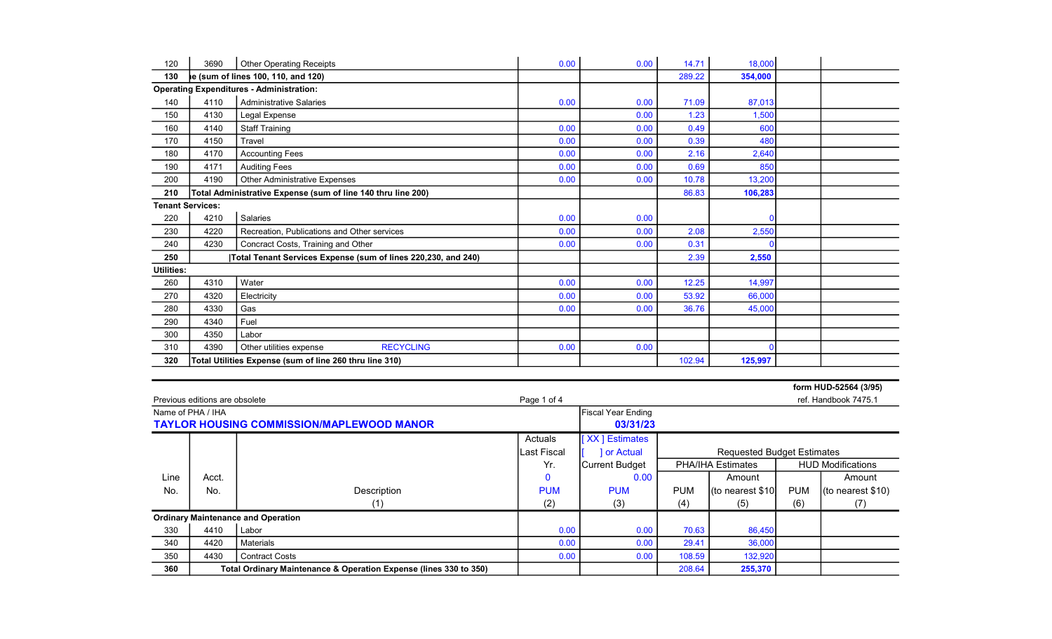| 120                     | 3690 | <b>Other Operating Receipts</b>                               | 0.00 | 0.00 | 14.71  | 18,000  |  |
|-------------------------|------|---------------------------------------------------------------|------|------|--------|---------|--|
| 130                     |      | le (sum of lines 100, 110, and 120)                           |      |      | 289.22 | 354,000 |  |
|                         |      | <b>Operating Expenditures - Administration:</b>               |      |      |        |         |  |
| 140                     | 4110 | <b>Administrative Salaries</b>                                | 0.00 | 0.00 | 71.09  | 87,013  |  |
| 150                     | 4130 | Legal Expense                                                 |      | 0.00 | 1.23   | 1,500   |  |
| 160                     | 4140 | <b>Staff Training</b>                                         | 0.00 | 0.00 | 0.49   | 600     |  |
| 170                     | 4150 | Travel                                                        | 0.00 | 0.00 | 0.39   | 480     |  |
| 180                     | 4170 | <b>Accounting Fees</b>                                        | 0.00 | 0.00 | 2.16   | 2,640   |  |
| 190                     | 4171 | <b>Auditing Fees</b>                                          | 0.00 | 0.00 | 0.69   | 850     |  |
| 200                     | 4190 | <b>Other Administrative Expenses</b>                          | 0.00 | 0.00 | 10.78  | 13,200  |  |
| 210                     |      | Total Administrative Expense (sum of line 140 thru line 200)  |      |      | 86.83  | 106,283 |  |
| <b>Tenant Services:</b> |      |                                                               |      |      |        |         |  |
| 220                     | 4210 | Salaries                                                      | 0.00 | 0.00 |        |         |  |
| 230                     | 4220 | Recreation, Publications and Other services                   | 0.00 | 0.00 | 2.08   | 2,550   |  |
| 240                     | 4230 | Concract Costs, Training and Other                            | 0.00 | 0.00 | 0.31   |         |  |
| 250                     |      | Total Tenant Services Expense (sum of lines 220,230, and 240) |      |      | 2.39   | 2,550   |  |
| <b>Utilities:</b>       |      |                                                               |      |      |        |         |  |
| 260                     | 4310 | Water                                                         | 0.00 | 0.00 | 12.25  | 14,997  |  |
| 270                     | 4320 | Electricity                                                   | 0.00 | 0.00 | 53.92  | 66,000  |  |
| 280                     | 4330 | Gas                                                           | 0.00 | 0.00 | 36.76  | 45,000  |  |
| 290                     | 4340 | Fuel                                                          |      |      |        |         |  |
| 300                     | 4350 | Labor                                                         |      |      |        |         |  |
| 310                     | 4390 | <b>RECYCLING</b><br>Other utilities expense                   | 0.00 | 0.00 |        |         |  |
| 320                     |      | Total Utilities Expense (sum of line 260 thru line 310)       |      |      | 102.94 | 125,997 |  |

|      |                                |                                                                   |             |                           |                                   |                                  |            | form HUD-52564 (3/95)    |
|------|--------------------------------|-------------------------------------------------------------------|-------------|---------------------------|-----------------------------------|----------------------------------|------------|--------------------------|
|      | Previous editions are obsolete |                                                                   | Page 1 of 4 |                           |                                   |                                  |            | ref. Handbook 7475.1     |
|      | Name of PHA / IHA              |                                                                   |             | <b>Fiscal Year Ending</b> |                                   |                                  |            |                          |
|      |                                | <b>TAYLOR HOUSING COMMISSION/MAPLEWOOD MANOR</b>                  |             | 03/31/23                  |                                   |                                  |            |                          |
|      |                                |                                                                   | Actuals     | [XX] Estimates            |                                   |                                  |            |                          |
|      |                                |                                                                   | Last Fiscal | 1 or Actual               | <b>Requested Budget Estimates</b> |                                  |            |                          |
|      |                                |                                                                   | Yr.         | Current Budget            | <b>PHA/IHA Estimates</b>          |                                  |            | <b>HUD Modifications</b> |
| Line | Acct.                          |                                                                   | $\mathbf 0$ | 0.00                      |                                   | Amount                           |            | Amount                   |
| No.  | No.                            | Description                                                       | <b>PUM</b>  | <b>PUM</b>                | <b>PUM</b>                        | $\vert$ (to nearest \$10 $\vert$ | <b>PUM</b> | $($ to nearest \$10)     |
|      |                                | (1)                                                               | (2)         | (3)                       | (4)                               | (5)                              | (6)        | (7)                      |
|      |                                | <b>Ordinary Maintenance and Operation</b>                         |             |                           |                                   |                                  |            |                          |
| 330  | 4410                           | Labor                                                             | 0.00        | 0.00                      | 70.63                             | 86,450                           |            |                          |
| 340  | 4420                           | Materials                                                         | 0.00        | 0.00                      | 29.41                             | 36,000                           |            |                          |
| 350  | 4430                           | <b>Contract Costs</b>                                             | 0.00        | 0.00                      | 108.59                            | 132,920                          |            |                          |
| 360  |                                | Total Ordinary Maintenance & Operation Expense (lines 330 to 350) |             |                           | 208.64                            | 255,370                          |            |                          |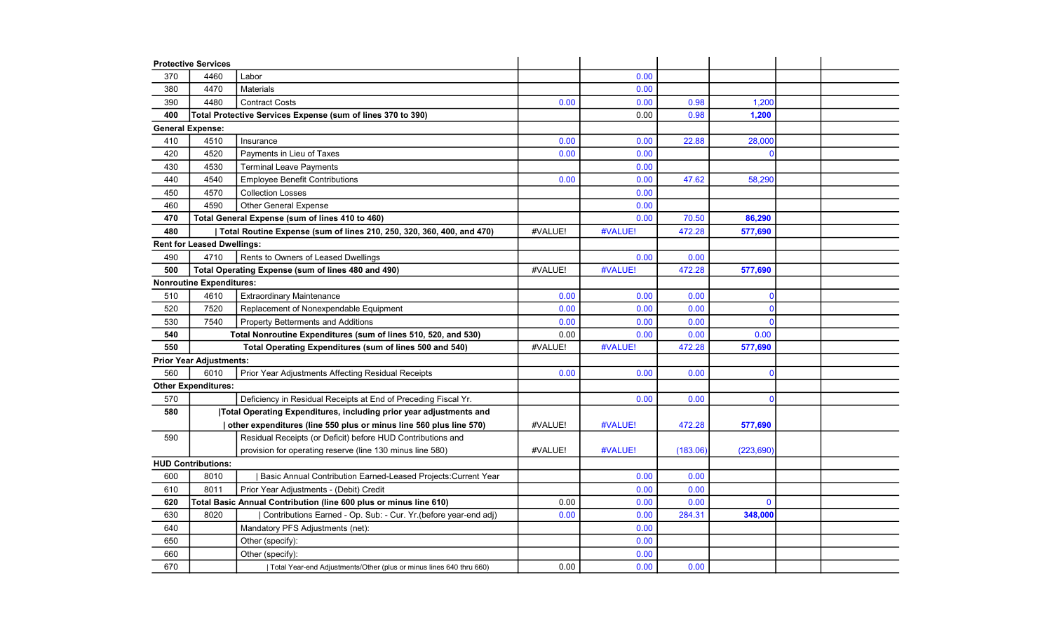|     | <b>Protective Services</b>                                     |                                                                           |         |         |          |              |  |
|-----|----------------------------------------------------------------|---------------------------------------------------------------------------|---------|---------|----------|--------------|--|
| 370 | 4460                                                           | Labor                                                                     |         | 0.00    |          |              |  |
| 380 | 4470                                                           | Materials                                                                 |         | 0.00    |          |              |  |
| 390 | 4480                                                           | <b>Contract Costs</b>                                                     | 0.00    | 0.00    | 0.98     | 1,200        |  |
| 400 |                                                                | Total Protective Services Expense (sum of lines 370 to 390)               |         | 0.00    | 0.98     | 1,200        |  |
|     | <b>General Expense:</b>                                        |                                                                           |         |         |          |              |  |
| 410 | 4510                                                           | Insurance                                                                 | 0.00    | 0.00    | 22.88    | 28,000       |  |
| 420 | 4520                                                           | Payments in Lieu of Taxes                                                 | 0.00    | 0.00    |          |              |  |
| 430 | 4530                                                           | <b>Terminal Leave Payments</b>                                            |         | 0.00    |          |              |  |
| 440 | 4540                                                           | <b>Employee Benefit Contributions</b>                                     | 0.00    | 0.00    | 47.62    | 58,290       |  |
| 450 | 4570                                                           | <b>Collection Losses</b>                                                  |         | 0.00    |          |              |  |
| 460 | 4590                                                           | <b>Other General Expense</b>                                              |         | 0.00    |          |              |  |
| 470 |                                                                | Total General Expense (sum of lines 410 to 460)                           |         | 0.00    | 70.50    | 86,290       |  |
| 480 |                                                                | Total Routine Expense (sum of lines 210, 250, 320, 360, 400, and 470)     | #VALUE! | #VALUE! | 472.28   | 577,690      |  |
|     | <b>Rent for Leased Dwellings:</b>                              |                                                                           |         |         |          |              |  |
| 490 | 4710                                                           | Rents to Owners of Leased Dwellings                                       |         | 0.00    | 0.00     |              |  |
| 500 |                                                                | Total Operating Expense (sum of lines 480 and 490)                        | #VALUE! | #VALUE! | 472.28   | 577,690      |  |
|     | <b>Nonroutine Expenditures:</b>                                |                                                                           |         |         |          |              |  |
| 510 | 4610                                                           | <b>Extraordinary Maintenance</b>                                          | 0.00    | 0.00    | 0.00     |              |  |
| 520 | 7520                                                           | Replacement of Nonexpendable Equipment                                    | 0.00    | 0.00    | 0.00     |              |  |
| 530 | 7540                                                           | <b>Property Betterments and Additions</b>                                 | 0.00    | 0.00    | 0.00     |              |  |
| 540 | Total Nonroutine Expenditures (sum of lines 510, 520, and 530) |                                                                           |         | 0.00    | 0.00     | 0.00         |  |
| 550 |                                                                | Total Operating Expenditures (sum of lines 500 and 540)                   | #VALUE! | #VALUE! | 472.28   | 577,690      |  |
|     | <b>Prior Year Adjustments:</b>                                 |                                                                           |         |         |          |              |  |
| 560 | 6010                                                           | Prior Year Adjustments Affecting Residual Receipts                        | 0.00    | 0.00    | 0.00     |              |  |
|     | <b>Other Expenditures:</b>                                     |                                                                           |         |         |          |              |  |
| 570 |                                                                | Deficiency in Residual Receipts at End of Preceding Fiscal Yr.            |         | 0.00    | 0.00     |              |  |
| 580 |                                                                | <b>Total Operating Expenditures, including prior year adjustments and</b> |         |         |          |              |  |
|     |                                                                | other expenditures (line 550 plus or minus line 560 plus line 570)        | #VALUE! | #VALUE! | 472.28   | 577,690      |  |
| 590 |                                                                | Residual Receipts (or Deficit) before HUD Contributions and               |         |         |          |              |  |
|     |                                                                | provision for operating reserve (line 130 minus line 580)                 | #VALUE! | #VALUE! | (183.06) | (223, 690)   |  |
|     | <b>HUD Contributions:</b>                                      |                                                                           |         |         |          |              |  |
| 600 | 8010                                                           | Basic Annual Contribution Earned-Leased Projects: Current Year            |         | 0.00    | 0.00     |              |  |
| 610 | 8011                                                           | Prior Year Adjustments - (Debit) Credit                                   |         | 0.00    | 0.00     |              |  |
| 620 |                                                                | Total Basic Annual Contribution (line 600 plus or minus line 610)         | 0.00    | 0.00    | 0.00     | $\mathbf{0}$ |  |
| 630 | 8020                                                           | Contributions Earned - Op. Sub: - Cur. Yr. (before year-end adj)          | 0.00    | 0.00    | 284.31   | 348,000      |  |
| 640 |                                                                | Mandatory PFS Adjustments (net):                                          |         | 0.00    |          |              |  |
| 650 |                                                                | Other (specify):                                                          |         | 0.00    |          |              |  |
| 660 |                                                                | Other (specify):                                                          |         | 0.00    |          |              |  |
| 670 |                                                                | Total Year-end Adjustments/Other (plus or minus lines 640 thru 660)       | 0.00    | 0.00    | 0.00     |              |  |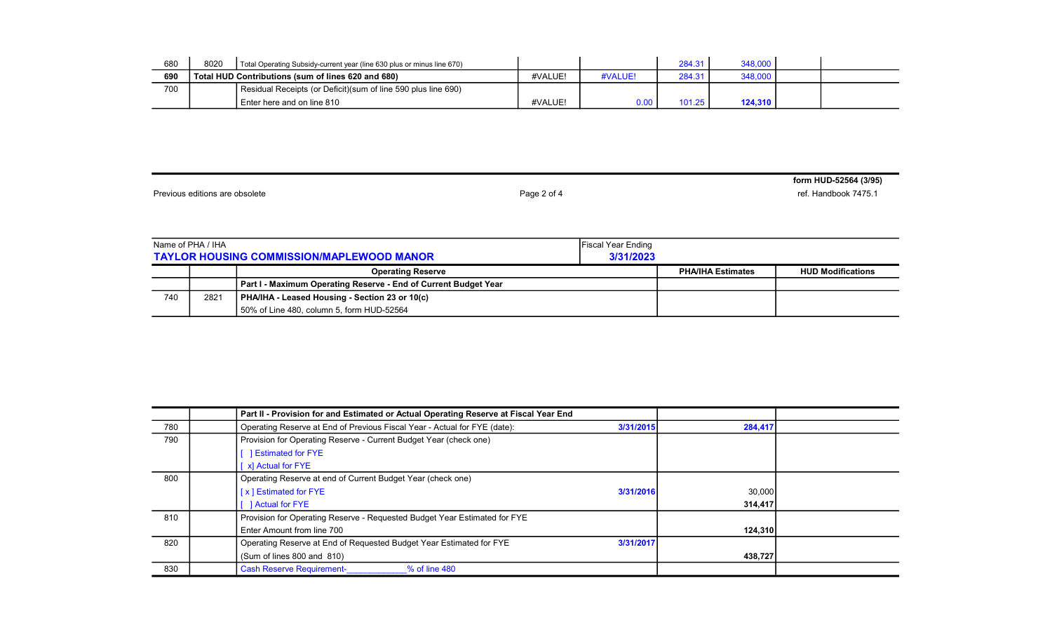| 680 | 8020                                                           | Total Operating Subsidy-current year (line 630 plus or minus line 670) |         |         | 284.31 | 348,000 |  |
|-----|----------------------------------------------------------------|------------------------------------------------------------------------|---------|---------|--------|---------|--|
| 690 | Total HUD Contributions (sum of lines 620 and 680)             |                                                                        | #VALUE! | #VALUE! | 284.31 | 348,000 |  |
| 700 | Residual Receipts (or Deficit) (sum of line 590 plus line 690) |                                                                        |         |         |        |         |  |
|     |                                                                | Enter here and on line 810                                             | #VALUE! | 0.00    | 101.25 | 124.310 |  |

Previous editions are obsolete **Page 2 of 4** ref. Handbook 7475.1

form HUD-52564 (3/95)

|     | Name of PHA / IHA | <b>TAYLOR HOUSING COMMISSION/MAPLEWOOD MANOR</b>                | <b>Fiscal Year Ending</b><br>3/31/2023 |                          |                          |
|-----|-------------------|-----------------------------------------------------------------|----------------------------------------|--------------------------|--------------------------|
|     |                   | <b>Operating Reserve</b>                                        |                                        | <b>PHA/IHA Estimates</b> | <b>HUD Modifications</b> |
|     |                   | Part I - Maximum Operating Reserve - End of Current Budget Year |                                        |                          |                          |
| 740 | 2821              | PHA/IHA - Leased Housing - Section 23 or 10(c)                  |                                        |                          |                          |
|     |                   | 50% of Line 480, column 5, form HUD-52564                       |                                        |                          |                          |

|     | Part II - Provision for and Estimated or Actual Operating Reserve at Fiscal Year End |           |         |  |
|-----|--------------------------------------------------------------------------------------|-----------|---------|--|
| 780 | Operating Reserve at End of Previous Fiscal Year - Actual for FYE (date):            | 3/31/2015 | 284,417 |  |
| 790 | Provision for Operating Reserve - Current Budget Year (check one)                    |           |         |  |
|     | <b>Estimated for FYE</b>                                                             |           |         |  |
|     | [ x] Actual for FYE                                                                  |           |         |  |
| 800 | Operating Reserve at end of Current Budget Year (check one)                          |           |         |  |
|     | [x] Estimated for FYE                                                                | 3/31/2016 | 30,000  |  |
|     | <b>Actual for FYE</b>                                                                |           | 314,417 |  |
| 810 | Provision for Operating Reserve - Requested Budget Year Estimated for FYE            |           |         |  |
|     | Enter Amount from line 700                                                           |           | 124,310 |  |
| 820 | Operating Reserve at End of Requested Budget Year Estimated for FYE                  | 3/31/2017 |         |  |
|     | (Sum of lines 800 and 810)                                                           |           | 438,727 |  |
| 830 | <b>Cash Reserve Requirement-</b><br>% of line 480                                    |           |         |  |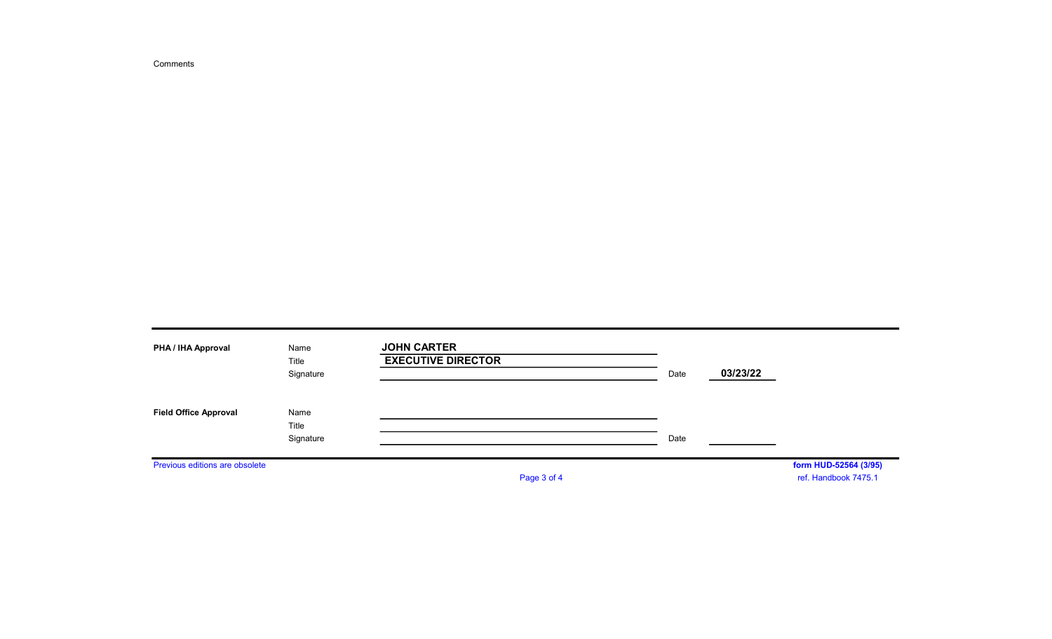Comments

| PHA / IHA Approval             | Name<br>Title<br>Signature | <b>JOHN CARTER</b><br><b>EXECUTIVE DIRECTOR</b> | Date | 03/23/22 |                                               |
|--------------------------------|----------------------------|-------------------------------------------------|------|----------|-----------------------------------------------|
| <b>Field Office Approval</b>   | Name<br>Title<br>Signature |                                                 | Date |          |                                               |
| Previous editions are obsolete |                            | Page 3 of 4                                     |      |          | form HUD-52564 (3/95)<br>ref. Handbook 7475.1 |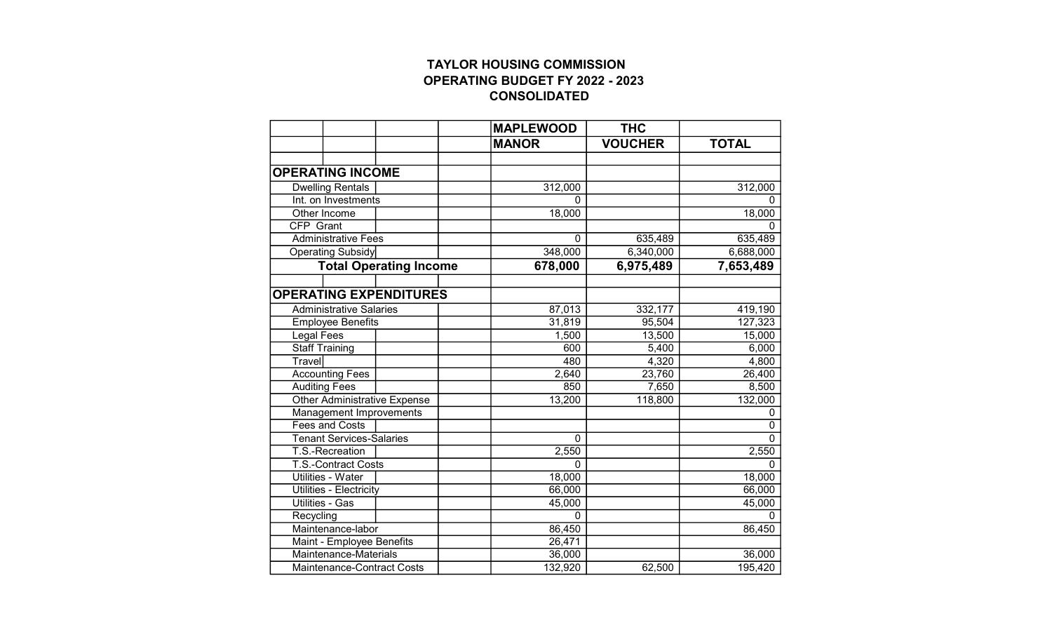# TAYLOR HOUSING COMMISSION OPERATING BUDGET FY 2022 - 2023 CONSOLIDATED

|                                     |  | <b>MAPLEWOOD</b> | <b>THC</b>     |              |
|-------------------------------------|--|------------------|----------------|--------------|
|                                     |  | <b>MANOR</b>     | <b>VOUCHER</b> | <b>TOTAL</b> |
|                                     |  |                  |                |              |
| <b>OPERATING INCOME</b>             |  |                  |                |              |
| <b>Dwelling Rentals</b>             |  | 312,000          |                | 312,000      |
| Int. on Investments                 |  | 0                |                |              |
| Other Income                        |  | 18,000           |                | 18,000       |
| CFP Grant                           |  |                  |                |              |
| <b>Administrative Fees</b>          |  | $\Omega$         | 635,489        | 635,489      |
| Operating Subsidy                   |  | 348,000          | 6,340,000      | 6,688,000    |
| <b>Total Operating Income</b>       |  | 678,000          | 6,975,489      | 7,653,489    |
|                                     |  |                  |                |              |
| <b>OPERATING EXPENDITURES</b>       |  |                  |                |              |
| <b>Administrative Salaries</b>      |  | 87,013           | 332,177        | 419,190      |
| <b>Employee Benefits</b>            |  | 31,819           | 95,504         | 127,323      |
| Legal Fees                          |  | 1,500            | 13,500         | 15,000       |
| <b>Staff Training</b>               |  | 600              | 5,400          | 6,000        |
| <b>Travel</b>                       |  | 480              | 4,320          | 4,800        |
| <b>Accounting Fees</b>              |  | 2,640            | 23,760         | 26,400       |
| <b>Auditing Fees</b>                |  | 850              | 7,650          | 8,500        |
| <b>Other Administrative Expense</b> |  | 13,200           | 118,800        | 132,000      |
| Management Improvements             |  |                  |                | 0            |
| Fees and Costs                      |  |                  |                | 0            |
| <b>Tenant Services-Salaries</b>     |  | $\mathbf 0$      |                | $\Omega$     |
| T.S.-Recreation                     |  | 2,550            |                | 2,550        |
| <b>T.S.-Contract Costs</b>          |  | $\Omega$         |                | 0            |
| <b>Utilities - Water</b>            |  | 18,000           |                | 18,000       |
| <b>Utilities - Electricity</b>      |  | 66,000           |                | 66,000       |
| Utilities - Gas                     |  | 45,000           |                | 45,000       |
| Recycling                           |  | $\mathbf{0}$     |                | 0            |
| Maintenance-labor                   |  | 86,450           |                | 86,450       |
| Maint - Employee Benefits           |  | 26,471           |                |              |
| Maintenance-Materials               |  | 36,000           |                | 36,000       |
| Maintenance-Contract Costs          |  | 132,920          | 62,500         | 195,420      |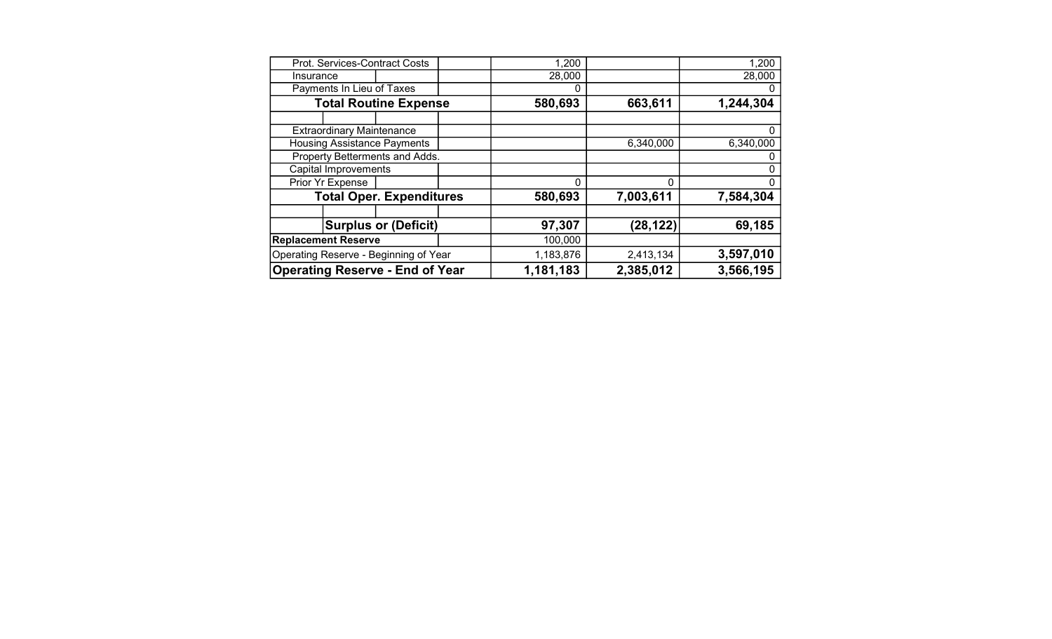| <b>Operating Reserve - End of Year</b> |                                  | 1,181,183                             | 2,385,012 | 3,566,195 |           |           |
|----------------------------------------|----------------------------------|---------------------------------------|-----------|-----------|-----------|-----------|
|                                        |                                  | Operating Reserve - Beginning of Year |           | 1,183,876 | 2,413,134 | 3,597,010 |
| <b>Replacement Reserve</b>             |                                  |                                       |           | 100,000   |           |           |
|                                        |                                  | <b>Surplus or (Deficit)</b>           |           | 97,307    | (28, 122) | 69,185    |
|                                        |                                  |                                       |           |           |           |           |
|                                        |                                  | <b>Total Oper. Expenditures</b>       |           | 580,693   | 7,003,611 | 7,584,304 |
|                                        | Prior Yr Expense                 |                                       |           | $\Omega$  | 0         |           |
| <b>Capital Improvements</b>            |                                  |                                       |           |           |           |           |
| Property Betterments and Adds.         |                                  |                                       |           |           |           |           |
| <b>Housing Assistance Payments</b>     |                                  |                                       |           | 6,340,000 | 6,340,000 |           |
|                                        | <b>Extraordinary Maintenance</b> |                                       |           |           |           |           |
|                                        |                                  |                                       |           |           |           |           |
| <b>Total Routine Expense</b>           |                                  |                                       | 580,693   | 663,611   | 1,244,304 |           |
|                                        | Payments In Lieu of Taxes        |                                       |           |           |           |           |
| Insurance                              |                                  |                                       |           | 28,000    |           | 28,000    |
| Prot. Services-Contract Costs          |                                  |                                       | 1,200     |           | 1,200     |           |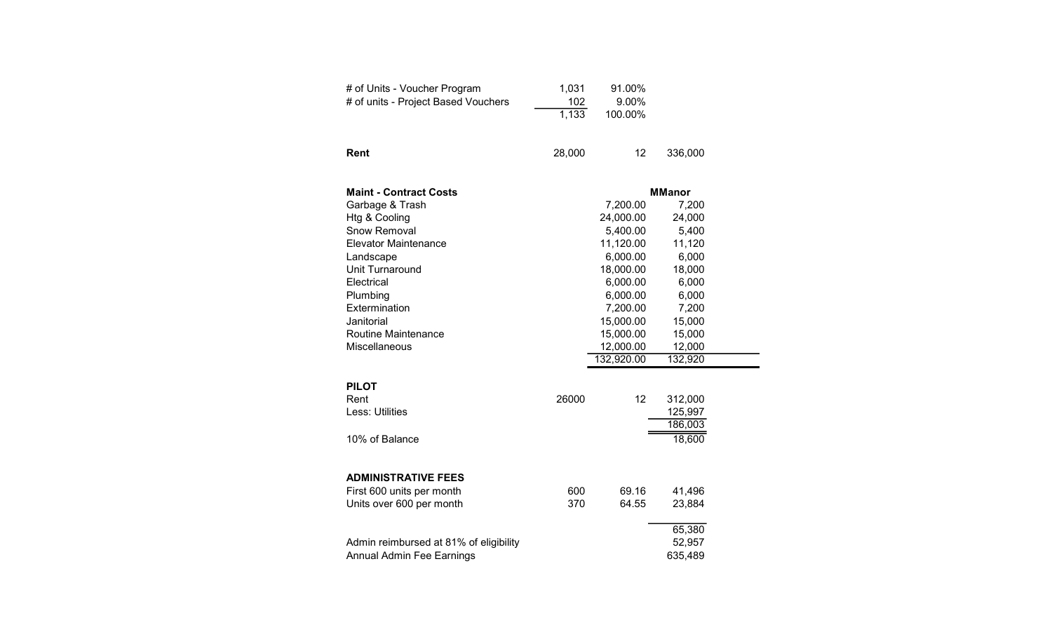| # of Units - Voucher Program<br># of units - Project Based Vouchers | 1,031<br>102<br>1,133 | 91.00%<br>9.00%<br>100.00% |               |
|---------------------------------------------------------------------|-----------------------|----------------------------|---------------|
| Rent                                                                | 28,000                | 12                         | 336,000       |
| <b>Maint - Contract Costs</b>                                       |                       |                            | <b>MManor</b> |
| Garbage & Trash                                                     |                       | 7,200.00                   | 7,200         |
| Htg & Cooling                                                       |                       | 24,000.00                  | 24,000        |
| Snow Removal                                                        |                       | 5,400.00                   | 5,400         |
| <b>Elevator Maintenance</b>                                         |                       | 11,120.00                  | 11,120        |
| Landscape                                                           |                       | 6,000.00                   | 6,000         |
| Unit Turnaround                                                     |                       | 18,000.00                  | 18,000        |
| Electrical                                                          |                       | 6,000.00                   | 6,000         |
| Plumbing                                                            |                       | 6,000.00                   | 6,000         |
| Extermination                                                       |                       | 7,200.00                   | 7,200         |
| Janitorial                                                          |                       | 15,000.00                  | 15,000        |
| Routine Maintenance                                                 |                       | 15,000.00                  | 15,000        |
| Miscellaneous                                                       |                       | 12,000.00                  | 12,000        |
|                                                                     |                       | 132,920.00                 | 132,920       |
| <b>PILOT</b>                                                        |                       |                            |               |
| Rent                                                                | 26000                 | 12                         | 312,000       |
| Less: Utilities                                                     |                       |                            | 125,997       |
|                                                                     |                       |                            | 186,003       |
| 10% of Balance                                                      |                       |                            | 18,600        |
|                                                                     |                       |                            |               |
| <b>ADMINISTRATIVE FEES</b>                                          |                       |                            |               |
| First 600 units per month                                           | 600                   | 69.16                      | 41,496        |
| Units over 600 per month                                            | 370                   | 64.55                      | 23,884        |
|                                                                     |                       |                            | 65,380        |
| Admin reimbursed at 81% of eligibility                              |                       |                            | 52,957        |
| Annual Admin Fee Earnings                                           |                       |                            | 635,489       |